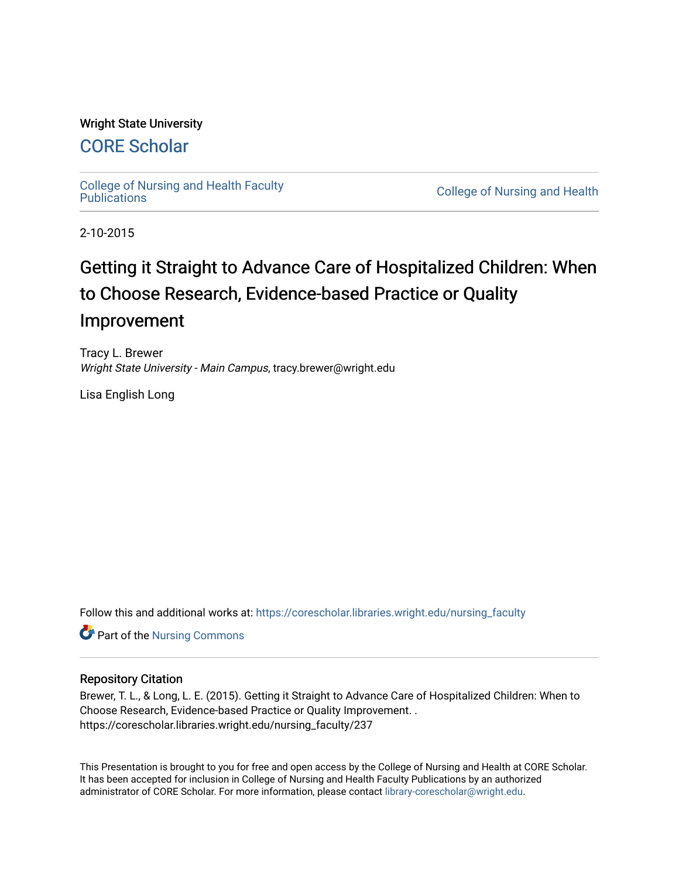### Wright State University

## [CORE Scholar](https://corescholar.libraries.wright.edu/)

[College of Nursing and Health Faculty](https://corescholar.libraries.wright.edu/nursing_faculty) 

**College of Nursing and Health** 

2-10-2015

# Getting it Straight to Advance Care of Hospitalized Children: When to Choose Research, Evidence-based Practice or Quality Improvement

Tracy L. Brewer Wright State University - Main Campus, tracy.brewer@wright.edu

Lisa English Long

Follow this and additional works at: [https://corescholar.libraries.wright.edu/nursing\\_faculty](https://corescholar.libraries.wright.edu/nursing_faculty?utm_source=corescholar.libraries.wright.edu%2Fnursing_faculty%2F237&utm_medium=PDF&utm_campaign=PDFCoverPages)

**Part of the Nursing Commons** 

#### Repository Citation

Brewer, T. L., & Long, L. E. (2015). Getting it Straight to Advance Care of Hospitalized Children: When to Choose Research, Evidence-based Practice or Quality Improvement. . https://corescholar.libraries.wright.edu/nursing\_faculty/237

This Presentation is brought to you for free and open access by the College of Nursing and Health at CORE Scholar. It has been accepted for inclusion in College of Nursing and Health Faculty Publications by an authorized administrator of CORE Scholar. For more information, please contact [library-corescholar@wright.edu.](mailto:library-corescholar@wright.edu)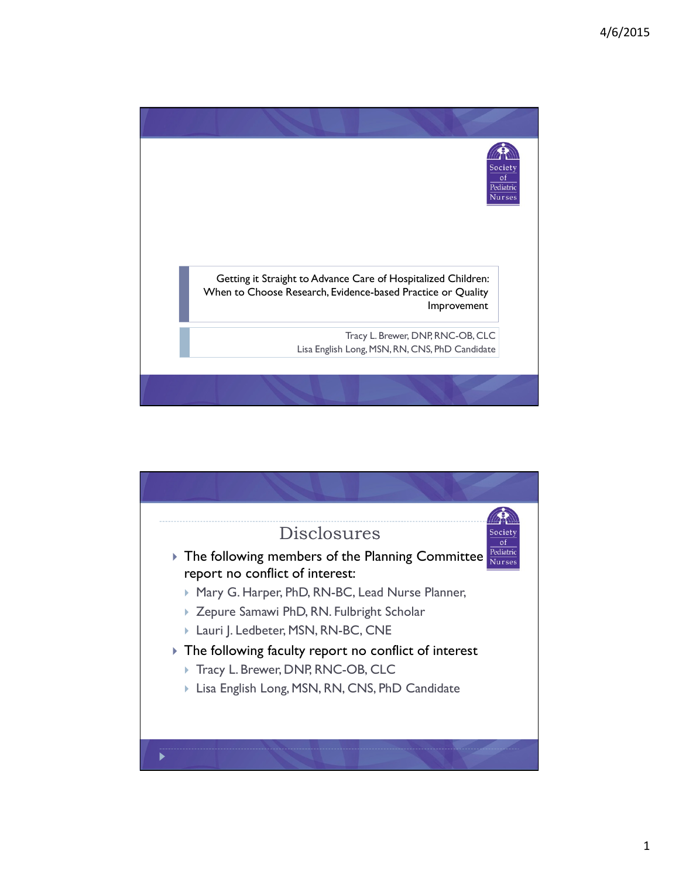

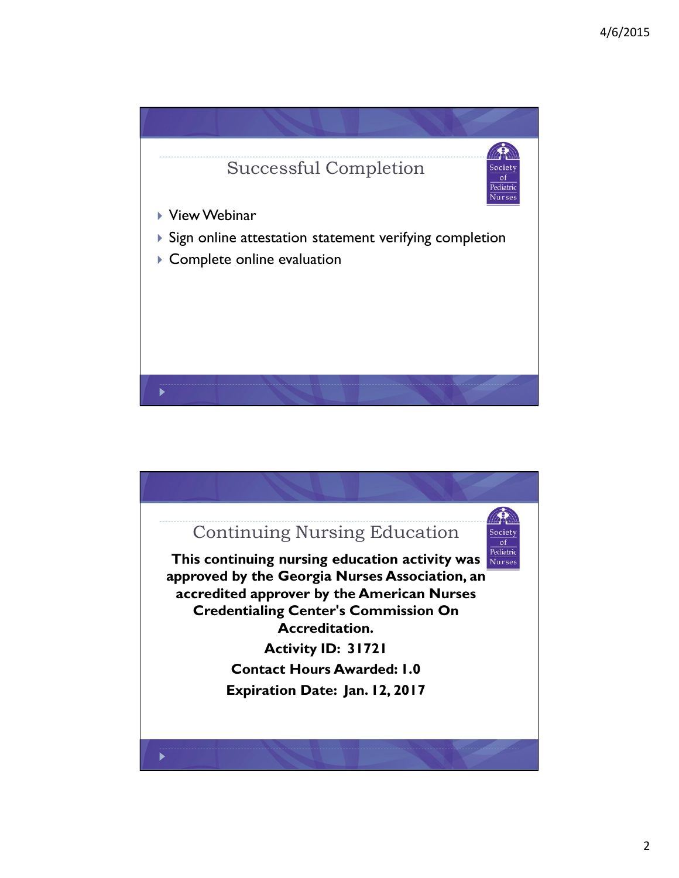

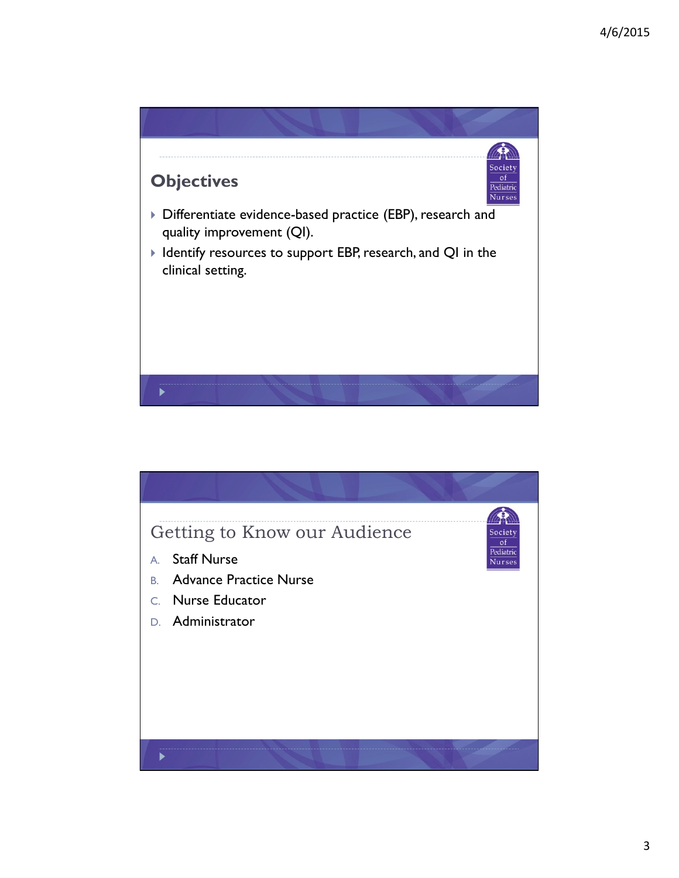

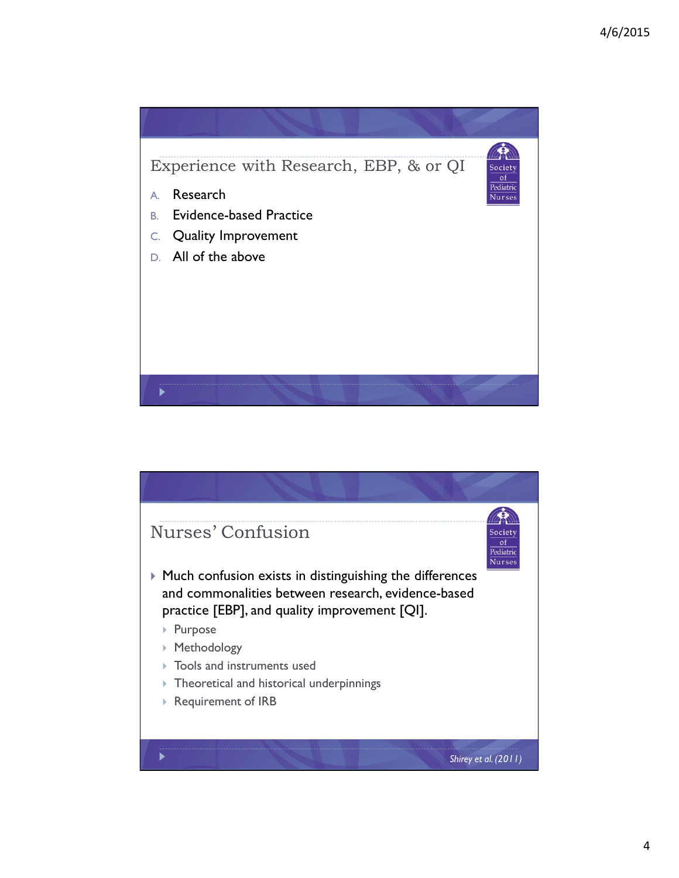

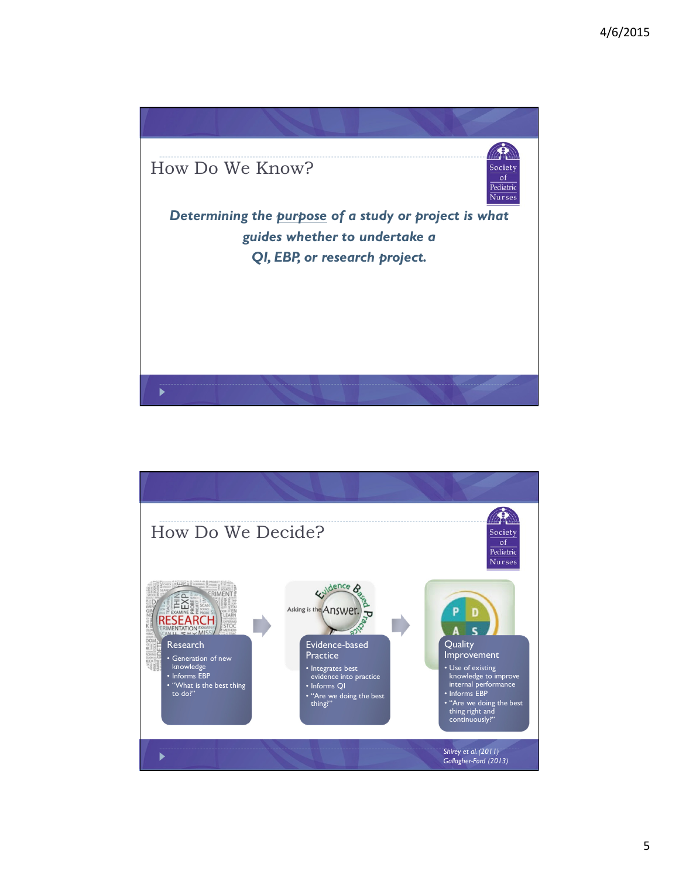

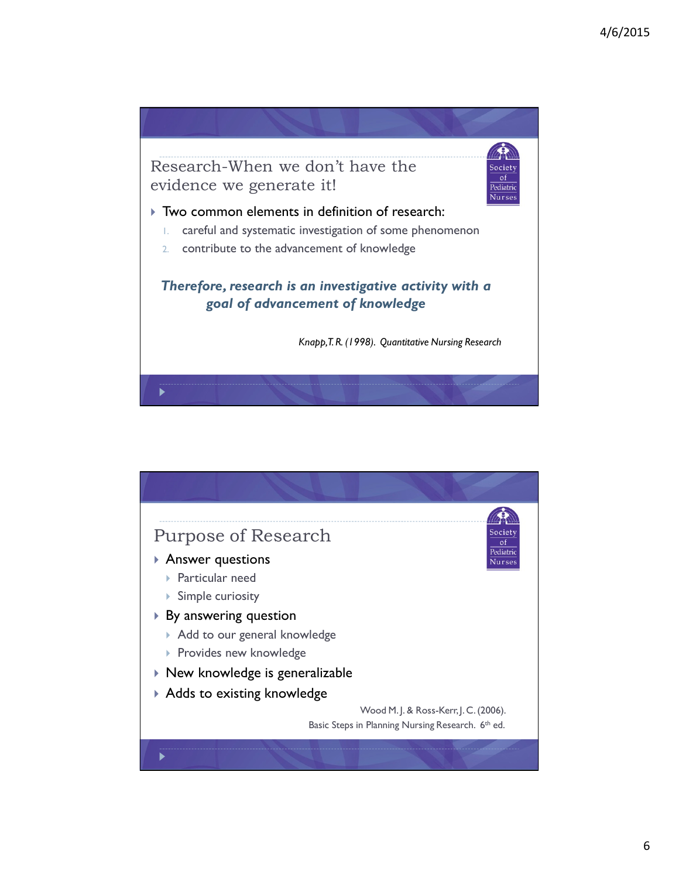

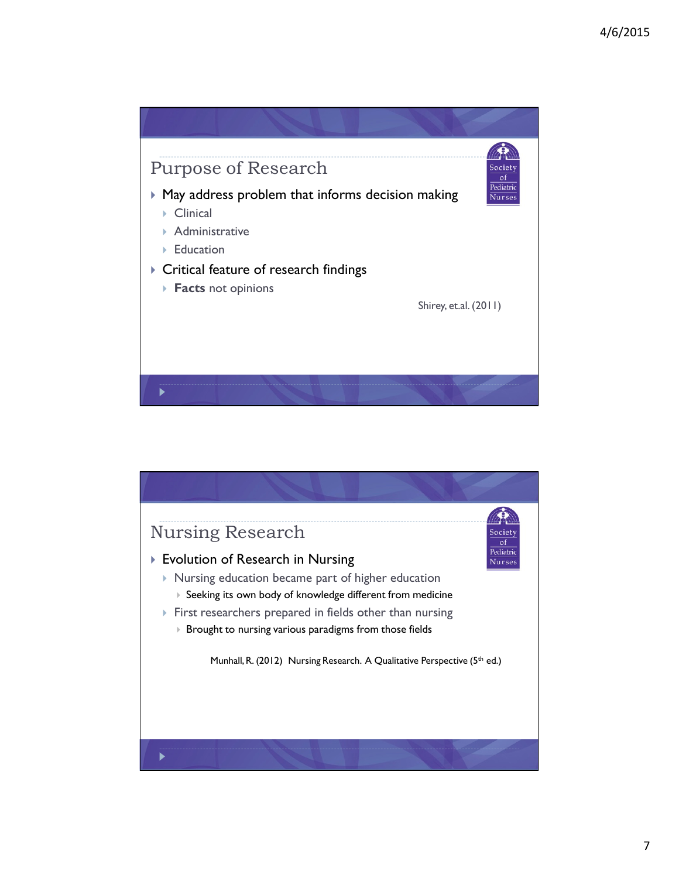

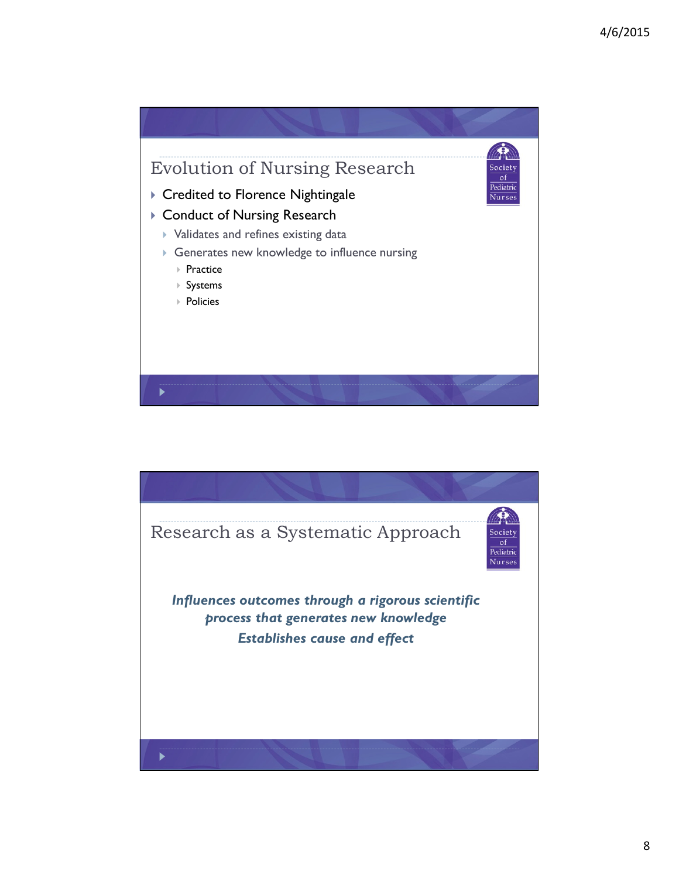

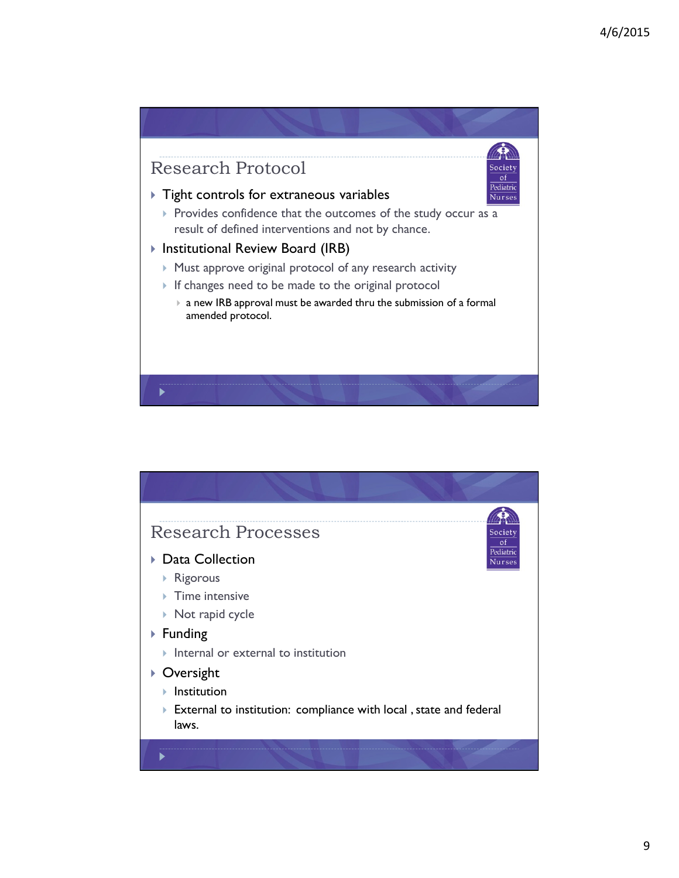

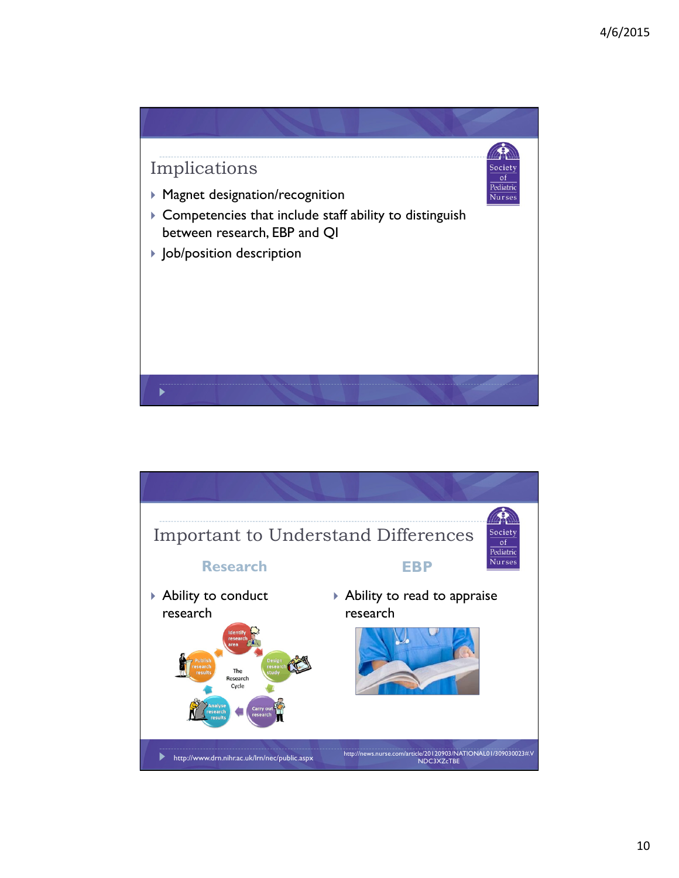

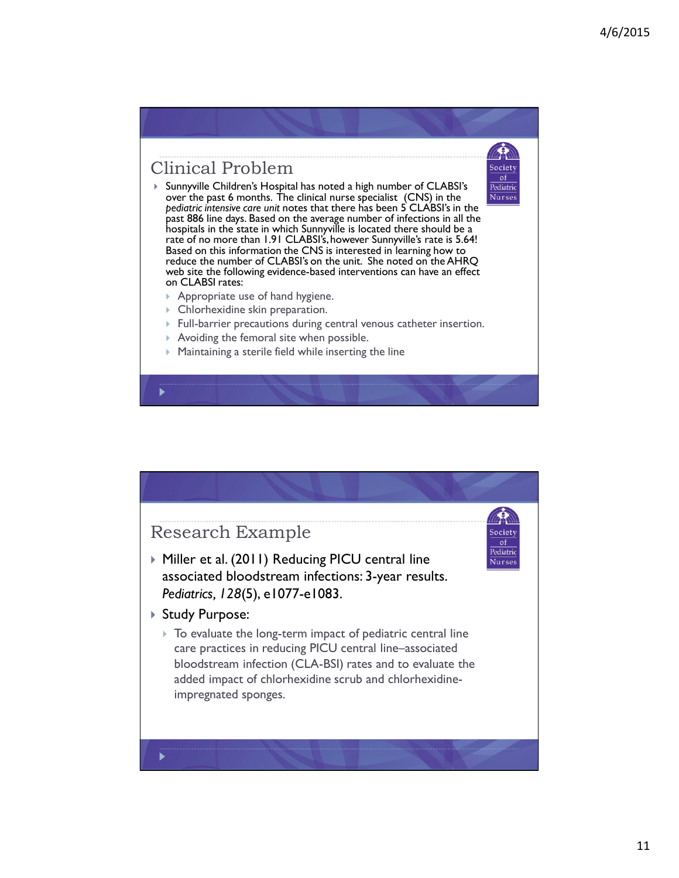Society  $of$ Pediatric Nurses

## Clinical Problem

- Sunnyville Children's Hospital has noted a high number of CLABSI's over the past 6 months. The clinical nurse specialist (CNS) in the *pediatric intensive care unit* notes that there has been 5 CLABSI's in the past 886 line days. Based on the average number of infections in all the hospitals in the state in which Sunnyville is located there should be a rate of no more than 1.91 CLABSI's, however Sunnyville's rate is 5.64! Based on this information the CNS is interested in learning how to reduce the number of CLABSI's on the unit. She noted on the AHRQ web site the following evidence-based interventions can have an effect on CLABSI rates:
	- Appropriate use of hand hygiene.
	- Chlorhexidine skin preparation.
	- Full-barrier precautions during central venous catheter insertion.
	- Avoiding the femoral site when possible.
	- Maintaining a sterile field while inserting the line

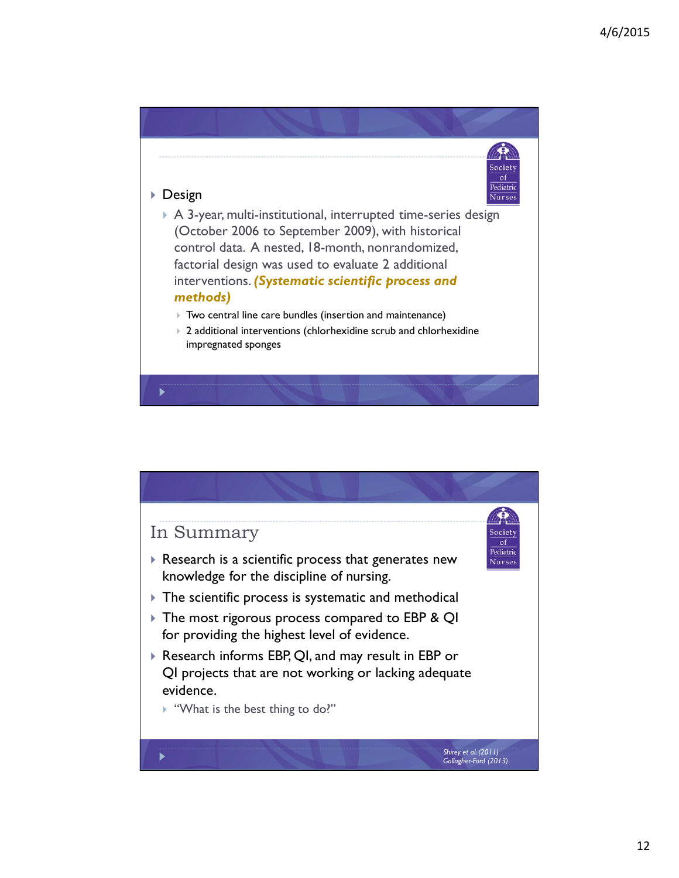Society  $\circ$ f Pediatric **Nurses** 

#### Design

 A 3-year, multi-institutional, interrupted time-series design (October 2006 to September 2009), with historical control data. A nested, 18-month, nonrandomized, factorial design was used to evaluate 2 additional interventions. *(Systematic scientific process and methods)*

Two central line care bundles (insertion and maintenance)

▶ 2 additional interventions (chlorhexidine scrub and chlorhexidine impregnated sponges



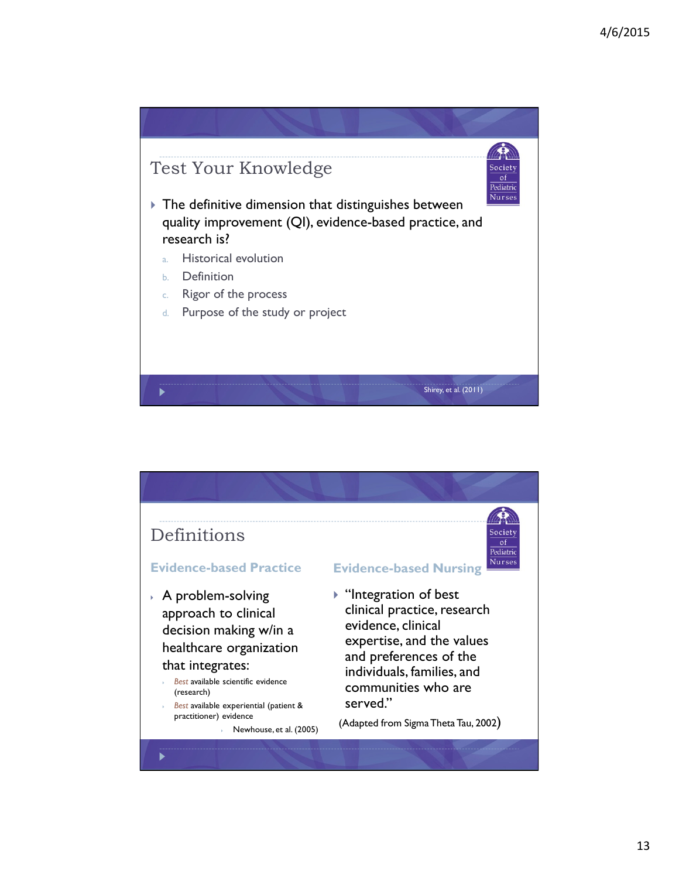

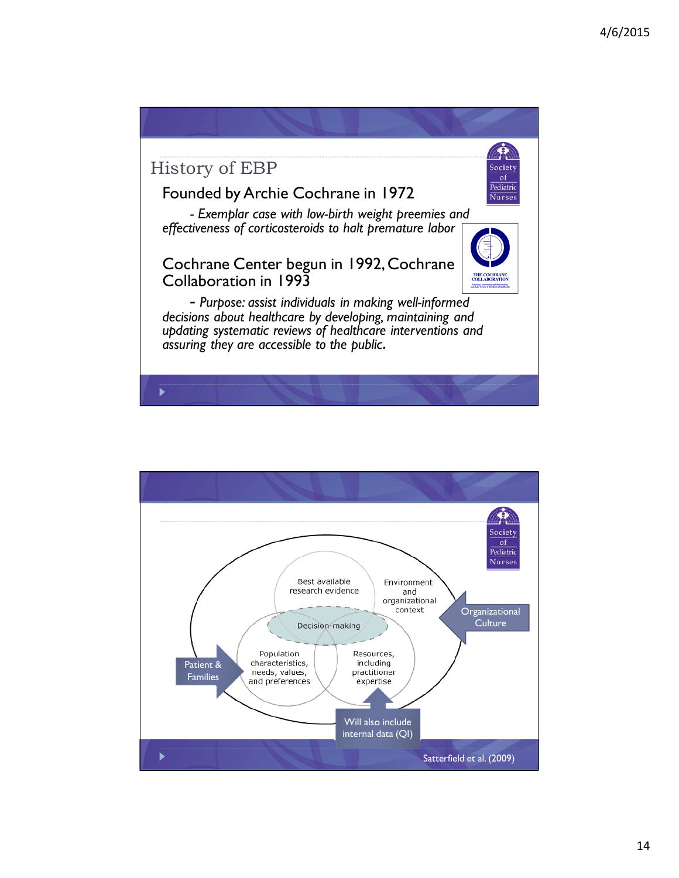

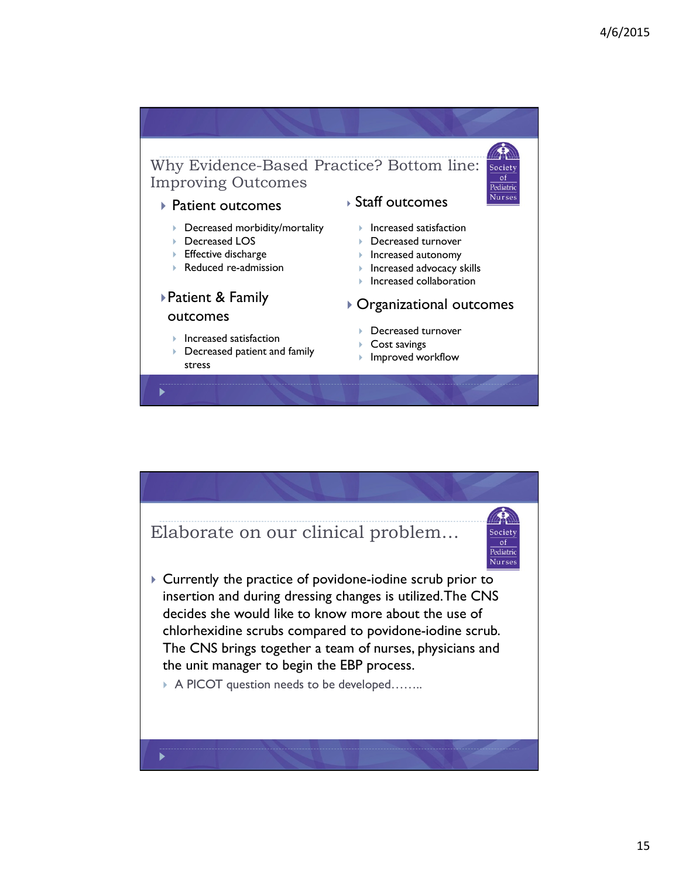

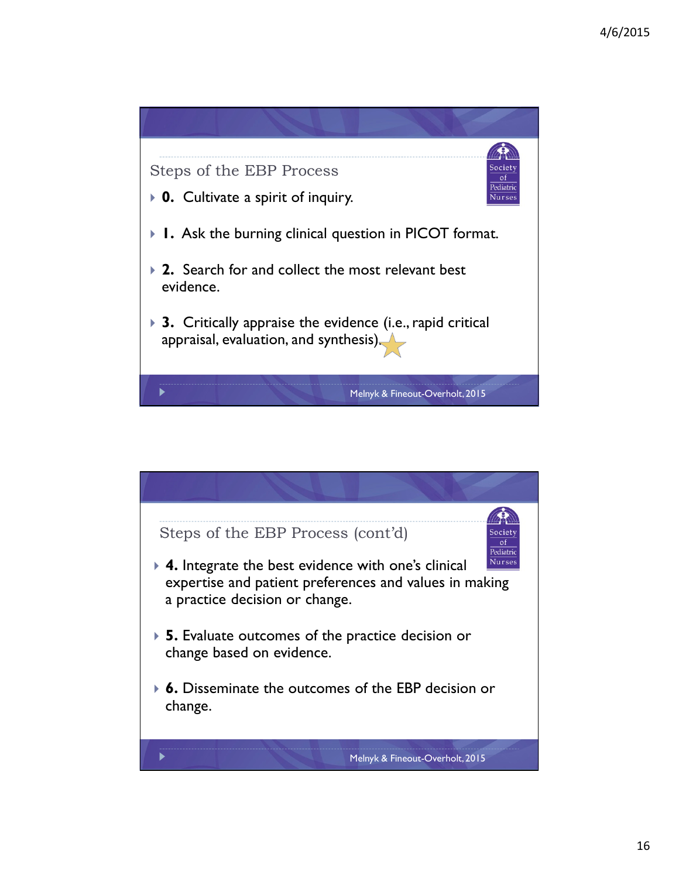

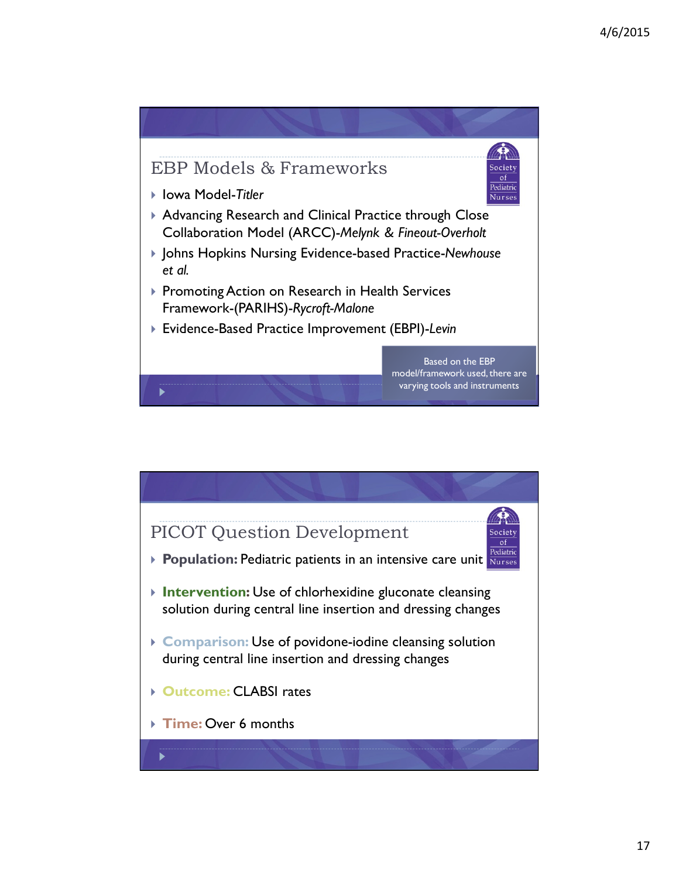

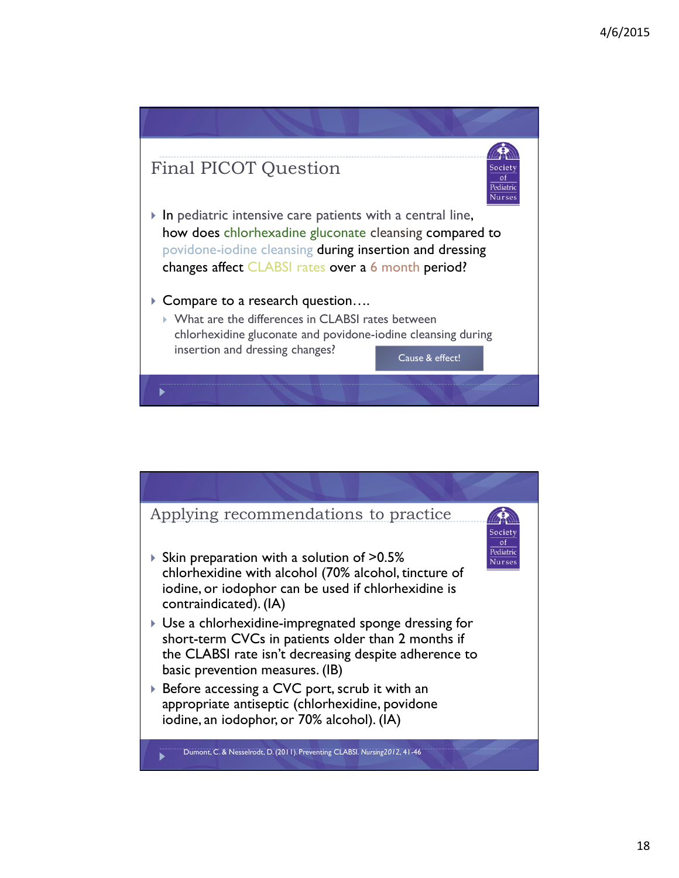

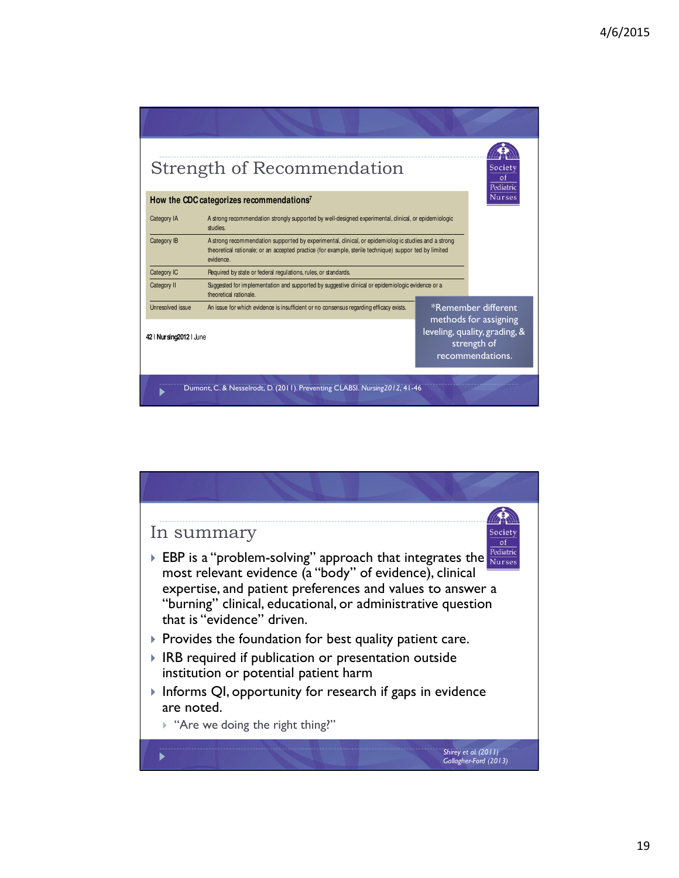| Strength of Recommendation                           |                                                                                                                                                                                                                           |                                                                                                                  |  |  |  |
|------------------------------------------------------|---------------------------------------------------------------------------------------------------------------------------------------------------------------------------------------------------------------------------|------------------------------------------------------------------------------------------------------------------|--|--|--|
| How the CDC categorizes recommendations <sup>7</sup> |                                                                                                                                                                                                                           |                                                                                                                  |  |  |  |
| Category IA                                          | A strong recommendation strongly supported by well-designed experimental, clinical, or epidemiologic<br>studies.                                                                                                          |                                                                                                                  |  |  |  |
| Category IB                                          | A strong recommendation supported by experimental, clinical, or epidemiolog ic studies and a strong<br>theoretical rationale; or an accepted practice (for example, sterile technique) suppor ted by limited<br>evidence. |                                                                                                                  |  |  |  |
| Category IC                                          | Required by state or federal regulations, rules, or standards.                                                                                                                                                            |                                                                                                                  |  |  |  |
| Category II                                          | Suggested for implementation and supported by suggestive clinical or epidemiologic evidence or a<br>theoretical rationale.                                                                                                |                                                                                                                  |  |  |  |
| Unresolved issue                                     | An issue for which evidence is insufficient or no consensus regarding efficacy exists.                                                                                                                                    | *Remember different<br>methods for assigning<br>leveling, quality, grading, &<br>strength of<br>recommendations. |  |  |  |
| 42   Nursing 2012   June                             |                                                                                                                                                                                                                           |                                                                                                                  |  |  |  |
|                                                      | Dumont, C. & Nesselrodt, D. (2011). Preventing CLABSI. Nursing2012, 41-46                                                                                                                                                 |                                                                                                                  |  |  |  |

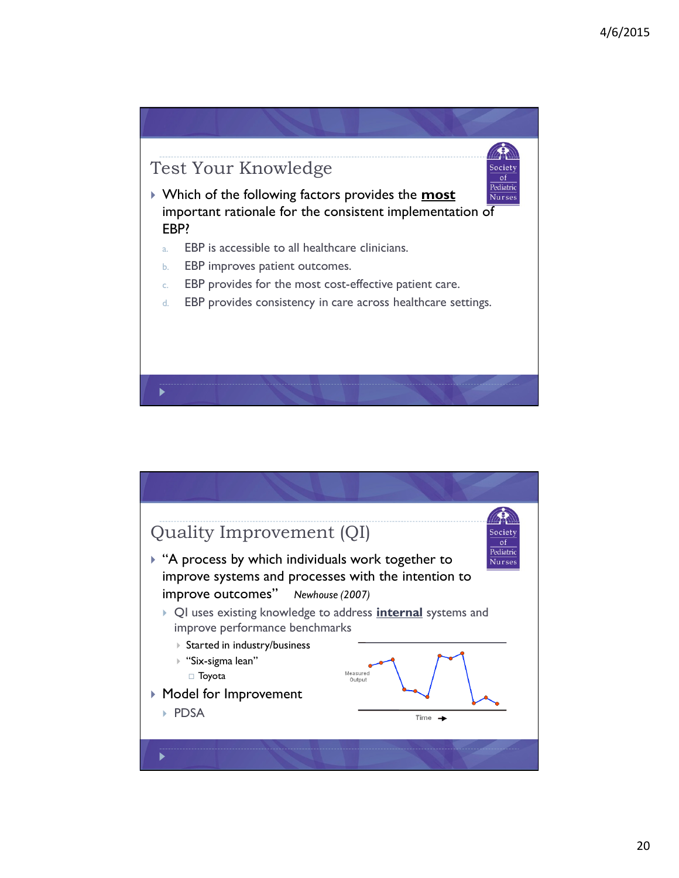

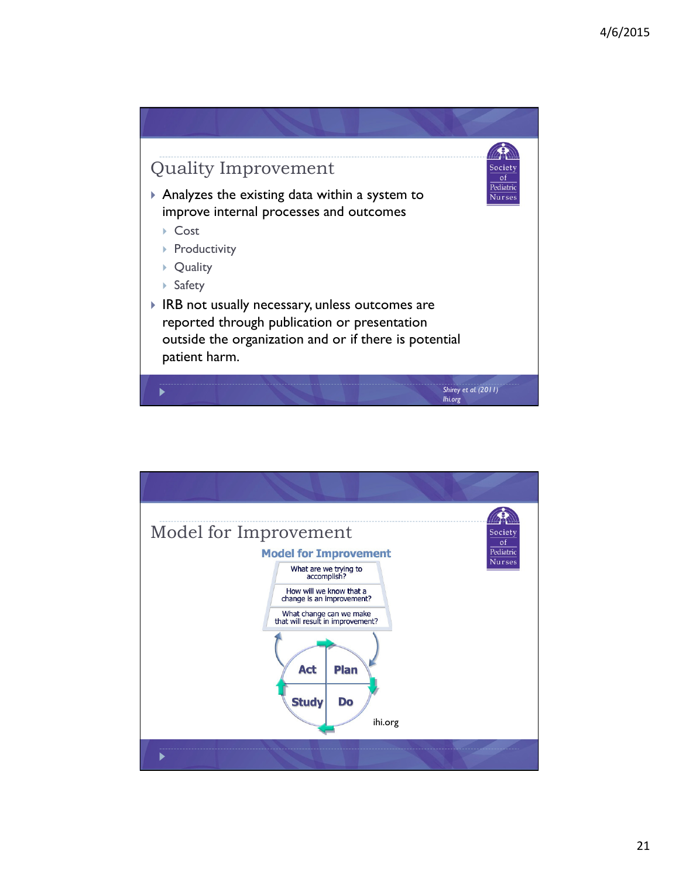

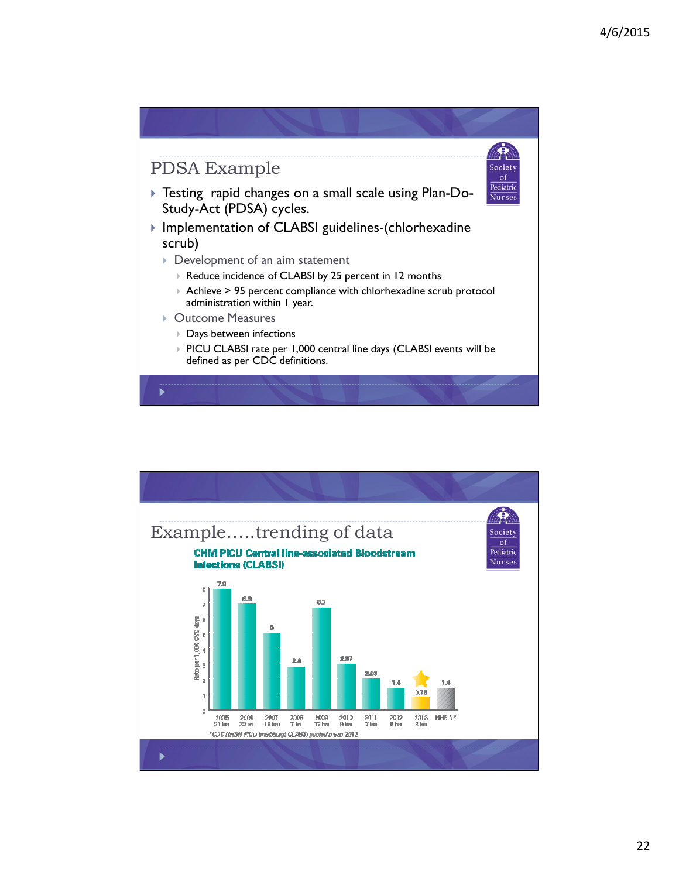

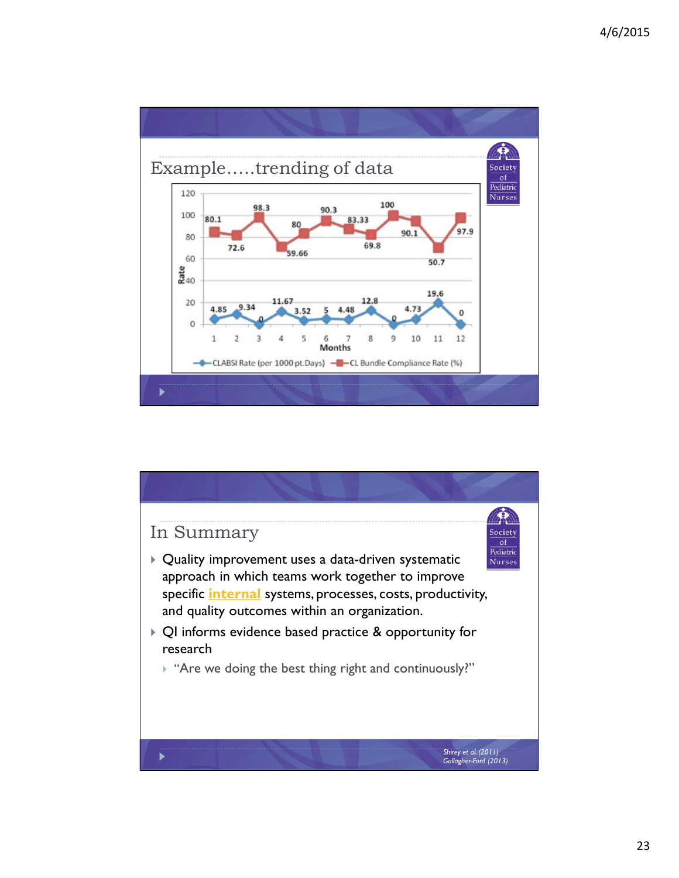

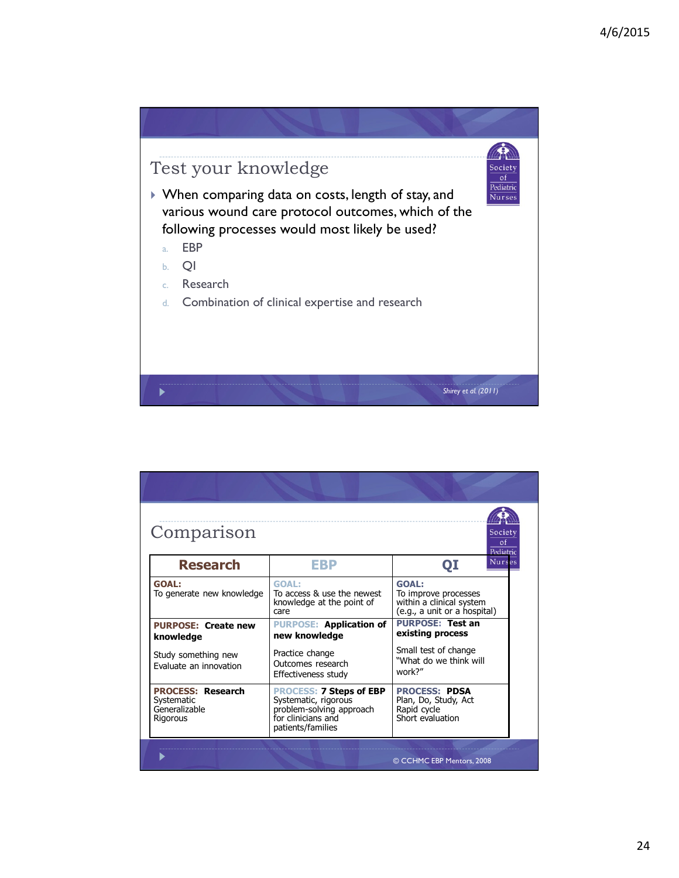

| Comparison<br>Society<br>$\alpha$<br>Pediatric                      |                                                                                                                               |                                                                                                  |  |  |  |  |
|---------------------------------------------------------------------|-------------------------------------------------------------------------------------------------------------------------------|--------------------------------------------------------------------------------------------------|--|--|--|--|
| <b>Research</b>                                                     | EBP                                                                                                                           | <b>Nurses</b><br>QI                                                                              |  |  |  |  |
| <b>GOAL:</b><br>To generate new knowledge                           | <b>GOAL:</b><br>To access & use the newest<br>knowledge at the point of<br>care                                               | <b>GOAL:</b><br>To improve processes<br>within a clinical system<br>(e.g., a unit or a hospital) |  |  |  |  |
| <b>PURPOSE: Create new</b><br>knowledge                             | <b>PURPOSE: Application of</b><br>new knowledge                                                                               | <b>PURPOSE: Test an</b><br>existing process                                                      |  |  |  |  |
| Study something new<br>Evaluate an innovation                       | Practice change<br>Outcomes research<br>Effectiveness study                                                                   | Small test of change<br>"What do we think will<br>work?"                                         |  |  |  |  |
| <b>PROCESS: Research</b><br>Systematic<br>Generalizable<br>Rigorous | <b>PROCESS: 7 Steps of EBP</b><br>Systematic, rigorous<br>problem-solving approach<br>for clinicians and<br>patients/families | <b>PROCESS: PDSA</b><br>Plan, Do, Study, Act<br>Rapid cycle<br>Short evaluation                  |  |  |  |  |
|                                                                     |                                                                                                                               | © CCHMC EBP Mentors, 2008                                                                        |  |  |  |  |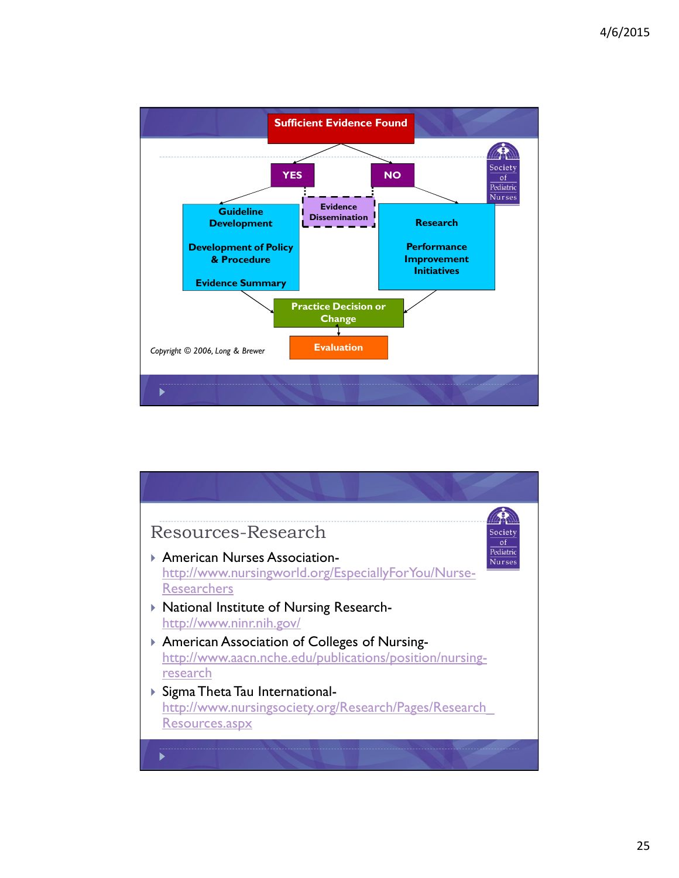

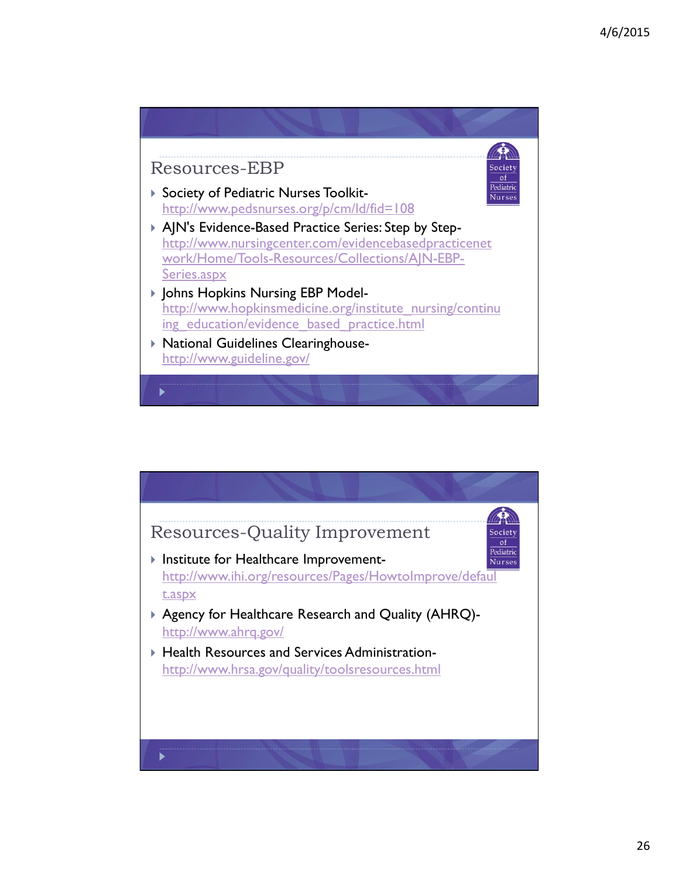